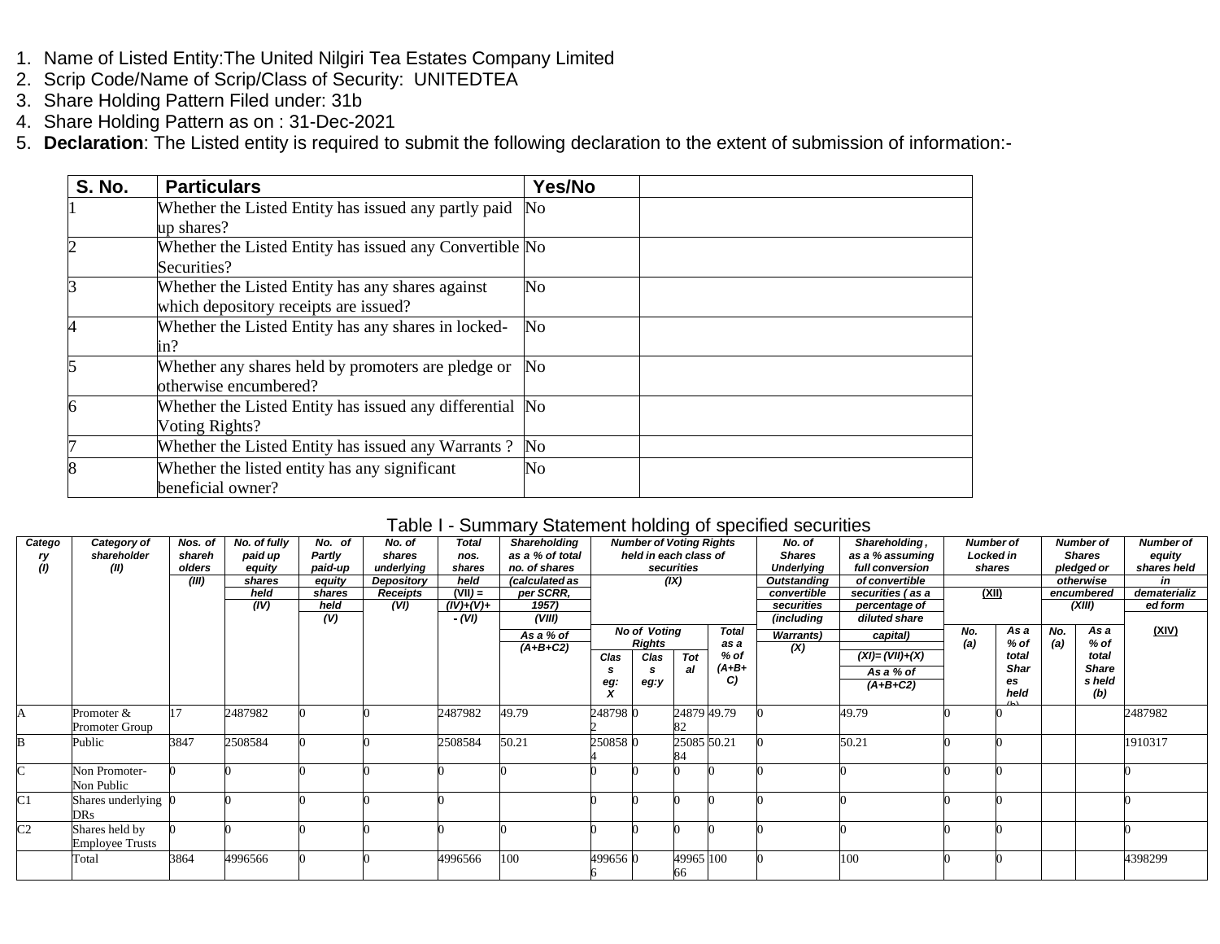- 1. Name of Listed Entity:The United Nilgiri Tea Estates Company Limited
- 2. Scrip Code/Name of Scrip/Class of Security: UNITEDTEA
- 3. Share Holding Pattern Filed under: 31b
- 4. Share Holding Pattern as on : 31-Dec-2021
- 5. **Declaration**: The Listed entity is required to submit the following declaration to the extent of submission of information:-

| <b>S. No.</b>  | <b>Particulars</b>                                       | Yes/No                 |  |
|----------------|----------------------------------------------------------|------------------------|--|
|                | Whether the Listed Entity has issued any partly paid     | No                     |  |
|                | up shares?                                               |                        |  |
| $\overline{2}$ | Whether the Listed Entity has issued any Convertible No  |                        |  |
|                | Securities?                                              |                        |  |
| 3              | Whether the Listed Entity has any shares against         | No                     |  |
|                | which depository receipts are issued?                    |                        |  |
|                | Whether the Listed Entity has any shares in locked-      | $\mathbf{N}\mathbf{o}$ |  |
|                | in?                                                      |                        |  |
| 5              | Whether any shares held by promoters are pledge or       | No                     |  |
|                | otherwise encumbered?                                    |                        |  |
| 6              | Whether the Listed Entity has issued any differential No |                        |  |
|                | Voting Rights?                                           |                        |  |
| 7              | Whether the Listed Entity has issued any Warrants?       | No                     |  |
| 8              | Whether the listed entity has any significant            | No                     |  |
|                | beneficial owner?                                        |                        |  |

## Table I - Summary Statement holding of specified securities

| Category of | Nos. of                                                                                                                                  | No. of fully                                       | No. of                        | No. of          | <b>Total</b> | <b>Shareholding</b>                          |                                                  |          |                                         |                                           | No. of                                                                                             | Shareholding,            |                                                              |             |                                                          |              | <b>Number of</b>                                                                            |
|-------------|------------------------------------------------------------------------------------------------------------------------------------------|----------------------------------------------------|-------------------------------|-----------------|--------------|----------------------------------------------|--------------------------------------------------|----------|-----------------------------------------|-------------------------------------------|----------------------------------------------------------------------------------------------------|--------------------------|--------------------------------------------------------------|-------------|----------------------------------------------------------|--------------|---------------------------------------------------------------------------------------------|
| shareholder | shareh                                                                                                                                   | paid up                                            | Partly                        | shares          | nos.         | as a % of total                              |                                                  |          |                                         |                                           | <b>Shares</b>                                                                                      | as a % assuming          |                                                              |             |                                                          |              | equity                                                                                      |
| (II)        | olders                                                                                                                                   | equity                                             | paid-up                       | underlying      | shares       | no. of shares                                |                                                  |          |                                         |                                           | <b>Underlying</b>                                                                                  | full conversion          |                                                              |             |                                                          |              | shares held                                                                                 |
|             |                                                                                                                                          | shares                                             | equity                        | Depository      | held         | (calculated as                               |                                                  |          |                                         |                                           | Outstanding                                                                                        | of convertible           |                                                              |             |                                                          |              | in                                                                                          |
|             |                                                                                                                                          | held                                               | shares                        | <b>Receipts</b> | $(VII) =$    | per SCRR,                                    |                                                  |          |                                         |                                           | convertible                                                                                        | securities (as a         |                                                              |             |                                                          |              | dematerializ                                                                                |
|             |                                                                                                                                          | (IV)                                               | held                          |                 |              | 1957)                                        |                                                  |          |                                         |                                           | securities                                                                                         | percentage of            |                                                              |             |                                                          |              | ed form                                                                                     |
|             |                                                                                                                                          |                                                    | (V)                           |                 | - (VI)       | (VIII)                                       |                                                  |          |                                         |                                           | (including                                                                                         | diluted share            |                                                              |             |                                                          |              |                                                                                             |
|             |                                                                                                                                          |                                                    |                               |                 |              |                                              |                                                  |          |                                         | <b>Total</b>                              |                                                                                                    |                          | No.                                                          | As a        | No.                                                      | As a         | <u>(XIV)</u>                                                                                |
|             |                                                                                                                                          |                                                    |                               |                 |              |                                              |                                                  |          |                                         | as a                                      |                                                                                                    |                          | (a)                                                          | % of        | (a)                                                      | % of         |                                                                                             |
|             |                                                                                                                                          |                                                    |                               |                 |              |                                              | Clas                                             | Clas     | Tot                                     | $%$ of                                    |                                                                                                    | $(XI) = (VII)+(X)$       |                                                              | total       |                                                          | total        |                                                                                             |
|             |                                                                                                                                          |                                                    |                               |                 |              |                                              |                                                  |          | al                                      | $(A+B+$                                   |                                                                                                    |                          |                                                              | <b>Shar</b> |                                                          | <b>Share</b> |                                                                                             |
|             |                                                                                                                                          |                                                    |                               |                 |              |                                              |                                                  | eg:y     |                                         | C)                                        |                                                                                                    |                          |                                                              | es          |                                                          | s held       |                                                                                             |
|             |                                                                                                                                          |                                                    |                               |                 |              |                                              |                                                  |          |                                         |                                           |                                                                                                    |                          |                                                              |             |                                                          |              |                                                                                             |
|             |                                                                                                                                          |                                                    |                               |                 |              |                                              |                                                  |          |                                         |                                           |                                                                                                    |                          |                                                              |             |                                                          |              | 2487982                                                                                     |
|             |                                                                                                                                          |                                                    |                               |                 |              |                                              |                                                  |          |                                         |                                           |                                                                                                    |                          |                                                              |             |                                                          |              |                                                                                             |
|             |                                                                                                                                          |                                                    |                               |                 |              |                                              |                                                  |          |                                         |                                           |                                                                                                    |                          |                                                              |             |                                                          |              | 1910317                                                                                     |
|             |                                                                                                                                          |                                                    |                               |                 |              |                                              |                                                  |          |                                         |                                           |                                                                                                    |                          |                                                              |             |                                                          |              |                                                                                             |
|             |                                                                                                                                          |                                                    |                               |                 |              |                                              |                                                  |          |                                         |                                           |                                                                                                    |                          |                                                              |             |                                                          |              |                                                                                             |
|             |                                                                                                                                          |                                                    |                               |                 |              |                                              |                                                  |          |                                         |                                           |                                                                                                    |                          |                                                              |             |                                                          |              |                                                                                             |
|             |                                                                                                                                          |                                                    |                               |                 |              |                                              |                                                  |          |                                         |                                           |                                                                                                    |                          |                                                              |             |                                                          |              |                                                                                             |
|             |                                                                                                                                          |                                                    |                               |                 |              |                                              |                                                  |          |                                         |                                           |                                                                                                    |                          |                                                              |             |                                                          |              |                                                                                             |
|             |                                                                                                                                          |                                                    |                               |                 |              |                                              |                                                  |          |                                         |                                           |                                                                                                    |                          |                                                              |             |                                                          |              |                                                                                             |
|             |                                                                                                                                          |                                                    |                               |                 |              |                                              |                                                  |          |                                         |                                           |                                                                                                    |                          |                                                              |             |                                                          |              |                                                                                             |
|             |                                                                                                                                          |                                                    |                               |                 |              |                                              |                                                  |          |                                         |                                           |                                                                                                    |                          |                                                              |             |                                                          |              |                                                                                             |
|             |                                                                                                                                          |                                                    |                               |                 |              |                                              |                                                  |          |                                         |                                           |                                                                                                    |                          |                                                              |             |                                                          |              | 4398299                                                                                     |
|             |                                                                                                                                          |                                                    |                               |                 |              |                                              |                                                  |          |                                         |                                           |                                                                                                    |                          |                                                              |             |                                                          |              |                                                                                             |
|             | Promoter &<br>Promoter Group<br>Public<br>Non Promoter-<br>Non Public<br><b>DRs</b><br>Shares held by<br><b>Employee Trusts</b><br>Total | (III)<br>17<br>3847<br>Shares underlying 0<br>3864 | 2487982<br>2508584<br>4996566 |                 | (VI)         | $(IV)+(V)+$<br>2487982<br>2508584<br>4996566 | As a % of<br>$(A+B+C2)$<br>49.79<br>50.21<br>100 | eg:<br>x | Rights<br>2487980<br>2508580<br>4996560 | securities<br>(IX)<br><b>No of Voting</b> | <b>Number of Voting Rights</b><br>held in each class of<br>24879 49.79<br>25085 50.21<br>49965 100 | <b>Warrants</b> )<br>(X) | capital)<br>As a % of<br>$(A+B+C2)$<br>49.79<br>50.21<br>100 |             | <b>Number of</b><br>Locked in<br>shares<br>(XII)<br>held |              | <b>Number of</b><br><b>Shares</b><br>pledged or<br>otherwise<br>encumbered<br>(XIII)<br>(b) |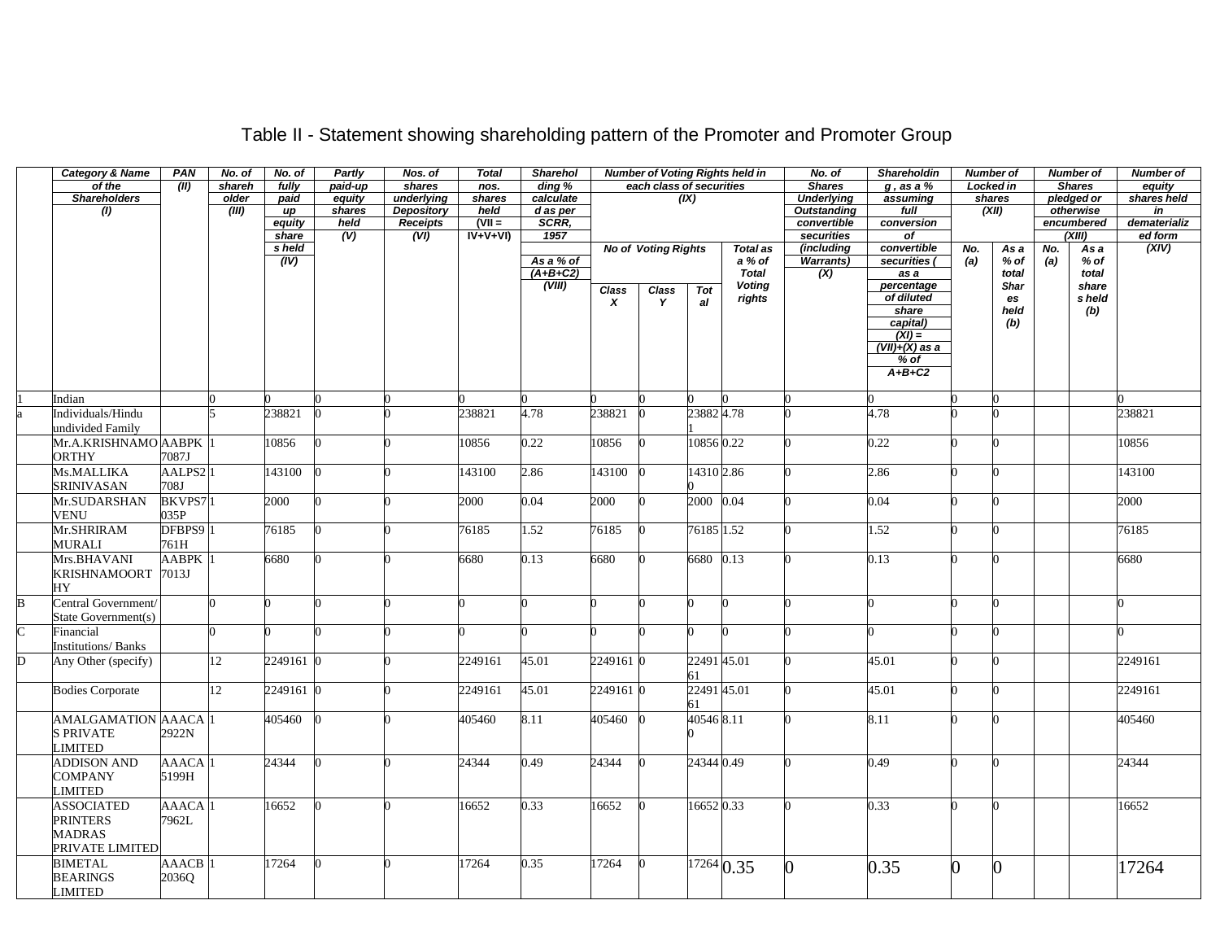|                         | <b>Category &amp; Name</b> | PAN                 | No. of | No. of    | Partly  | Nos. of           | <b>Total</b>          | Sharehol   | <b>Number of Voting Rights held in</b> |                            |             | No. of               | Shareholdin        |                             | <b>Number of</b> | <b>Number of</b> |     | <b>Number of</b> |                |
|-------------------------|----------------------------|---------------------|--------|-----------|---------|-------------------|-----------------------|------------|----------------------------------------|----------------------------|-------------|----------------------|--------------------|-----------------------------|------------------|------------------|-----|------------------|----------------|
|                         | of the                     | (II)                | shareh | fully     | paid-up | shares            | nos.                  | ding %     |                                        | each class of securities   |             |                      | <b>Shares</b>      | $g$ , as a $%$              |                  | Locked in        |     | <b>Shares</b>    | equity         |
|                         | <b>Shareholders</b>        |                     | older  | paid      | equity  | underlying        | shares                | calculate  |                                        |                            | (X)         |                      | <b>Underlying</b>  | assuming                    |                  | shares           |     | pledged or       | shares held    |
|                         | (1)                        |                     | (III)  | иp        | shares  | <b>Depository</b> | held                  | d as per   |                                        |                            |             |                      | <b>Outstanding</b> | full                        |                  | (XII)            |     | otherwise        | $\overline{m}$ |
|                         |                            |                     |        | equity    | held    | Receipts          | $\overline{C}$ (VII = | SCRR,      |                                        |                            |             |                      | convertible        | conversion                  |                  |                  |     | encumbered       | dematerializ   |
|                         |                            |                     |        | share     | (V)     | (VI)              | $IV+V+VI)$            | 1957       |                                        |                            |             |                      | securities         | $\overline{of}$             |                  |                  |     | (XIII)           | ed form        |
|                         |                            |                     |        | s held    |         |                   |                       |            |                                        | <b>No of Voting Rights</b> |             | <b>Total as</b>      | (including         | convertible                 | No.              | As a             | No. | As a             | (XIV)          |
|                         |                            |                     |        | (IV)      |         |                   |                       | As a % of  |                                        |                            |             | a % of               | <b>Warrants)</b>   | securities (                | (a)              | % of             | (a) | $%$ of           |                |
|                         |                            |                     |        |           |         |                   |                       | $(A+B+C2)$ |                                        |                            |             | <b>Total</b>         | (X)                | $\overline{as} a$           |                  | total            |     | total            |                |
|                         |                            |                     |        |           |         |                   |                       | (VIII)     | <b>Class</b>                           | <b>Class</b>               | Tot         | <b>Voting</b>        |                    | percentage<br>of diluted    |                  | <b>Shar</b>      |     | share            |                |
|                         |                            |                     |        |           |         |                   |                       |            | $\boldsymbol{x}$                       | Y                          | al          | rights               |                    |                             |                  | es               |     | s held           |                |
|                         |                            |                     |        |           |         |                   |                       |            |                                        |                            |             |                      |                    | share                       |                  | held             |     | (b)              |                |
|                         |                            |                     |        |           |         |                   |                       |            |                                        |                            |             |                      |                    | capital)<br>$(XI) =$        |                  | (b)              |     |                  |                |
|                         |                            |                     |        |           |         |                   |                       |            |                                        |                            |             |                      |                    | $\overline{(VII)+(X)}$ as a |                  |                  |     |                  |                |
|                         |                            |                     |        |           |         |                   |                       |            |                                        |                            |             |                      |                    | $%$ of                      |                  |                  |     |                  |                |
|                         |                            |                     |        |           |         |                   |                       |            |                                        |                            |             |                      |                    | $A+B+C2$                    |                  |                  |     |                  |                |
|                         |                            |                     |        |           |         |                   |                       |            |                                        |                            |             |                      |                    |                             |                  |                  |     |                  |                |
|                         | Indian                     |                     |        |           |         |                   |                       |            |                                        |                            |             |                      |                    |                             |                  |                  |     |                  |                |
|                         | Individuals/Hindu          |                     |        | 238821    |         |                   | 238821                | 4.78       | 238821                                 |                            | 238824.78   |                      |                    | 4.78                        |                  |                  |     |                  | 238821         |
|                         | undivided Family           |                     |        |           |         |                   |                       |            |                                        |                            |             |                      |                    |                             |                  |                  |     |                  |                |
|                         | Mr.A.KRISHNAMO AABPK       |                     |        |           |         |                   |                       | 0.22       | 10856                                  |                            | 10856 0.22  |                      |                    |                             |                  | U                |     |                  |                |
|                         |                            |                     |        | 10856     |         |                   | 10856                 |            |                                        |                            |             |                      |                    | 0.22                        |                  |                  |     |                  | 10856          |
|                         | <b>ORTHY</b>               | 7087J               |        |           |         |                   |                       |            |                                        |                            |             |                      |                    |                             |                  |                  |     |                  |                |
|                         | Ms.MALLIKA                 | AALPS2 <sub>1</sub> |        | 143100    |         |                   | 143100                | 2.86       | 143100                                 |                            | 14310 2.86  |                      |                    | 2.86                        |                  |                  |     |                  | 143100         |
|                         | <b>SRINIVASAN</b>          | 708J                |        |           |         |                   |                       |            |                                        |                            |             |                      |                    |                             |                  |                  |     |                  |                |
|                         | Mr.SUDARSHAN               | BKVPS71             |        | 2000      |         |                   | 2000                  | 0.04       | 2000                                   |                            | 2000        | 0.04                 |                    | 0.04                        |                  | 0                |     |                  | 2000           |
|                         | <b>VENU</b>                | 035P                |        |           |         |                   |                       |            |                                        |                            |             |                      |                    |                             |                  |                  |     |                  |                |
|                         | Mr.SHRIRAM                 | DFBPS9 <sub>1</sub> |        | 76185     | 0       |                   | 76185                 | 1.52       | 76185                                  |                            | 76185 1.52  |                      |                    | 1.52                        |                  | 0                |     |                  | 76185          |
|                         | MURALI                     | 761H                |        |           |         |                   |                       |            |                                        |                            |             |                      |                    |                             |                  |                  |     |                  |                |
|                         | Mrs.BHAVANI                | <b>AABPK</b>        |        | 6680      |         |                   | 6680                  | 0.13       | 6680                                   |                            | 6680        | 0.13                 |                    | 0.13                        |                  | $\Omega$         |     |                  | 6680           |
|                         | KRISHNAMOORT 7013J         |                     |        |           |         |                   |                       |            |                                        |                            |             |                      |                    |                             |                  |                  |     |                  |                |
|                         | HY                         |                     |        |           |         |                   |                       |            |                                        |                            |             |                      |                    |                             |                  |                  |     |                  |                |
|                         |                            |                     |        |           |         |                   |                       |            |                                        |                            |             |                      |                    |                             |                  |                  |     |                  |                |
| B                       | Central Government/        |                     |        |           |         |                   |                       |            |                                        |                            |             |                      |                    |                             |                  |                  |     |                  |                |
|                         | State Government(s)        |                     |        |           |         |                   |                       |            |                                        |                            |             |                      |                    |                             |                  |                  |     |                  |                |
| $\overline{\rm C}$      | Financial                  |                     |        |           |         |                   |                       |            |                                        |                            | U           |                      |                    |                             |                  |                  |     |                  |                |
|                         | <b>Institutions/Banks</b>  |                     |        |           |         |                   |                       |            |                                        |                            |             |                      |                    |                             |                  |                  |     |                  |                |
| $\overline{\mathsf{D}}$ | Any Other (specify)        |                     | 12     | 2249161 0 |         |                   | 2249161               | 45.01      | 2249161 0                              |                            | 22491 45.01 |                      |                    | 45.01                       |                  |                  |     |                  | 2249161        |
|                         |                            |                     |        |           |         |                   |                       |            |                                        |                            | 61          |                      |                    |                             |                  |                  |     |                  |                |
|                         | <b>Bodies Corporate</b>    |                     | 12     | 2249161 0 |         |                   | 2249161               | 45.01      | 2249161 0                              |                            | 22491 45.01 |                      |                    | 45.01                       |                  |                  |     |                  | 2249161        |
|                         |                            |                     |        |           |         |                   |                       |            |                                        |                            | 61          |                      |                    |                             |                  |                  |     |                  |                |
|                         | <b>AMALGAMATION AAACA</b>  |                     |        | 405460    |         |                   | 405460                | 8.11       | 405460                                 |                            | 405468.11   |                      |                    | 8.11                        |                  |                  |     |                  | 405460         |
|                         | <b>S PRIVATE</b>           | 2922N               |        |           |         |                   |                       |            |                                        |                            |             |                      |                    |                             |                  |                  |     |                  |                |
|                         | LIMITED                    |                     |        |           |         |                   |                       |            |                                        |                            |             |                      |                    |                             |                  |                  |     |                  |                |
|                         | <b>ADDISON AND</b>         | <b>AAACA</b>        |        | 24344     |         |                   | 24344                 | 0.49       | 24344                                  |                            | 24344 0.49  |                      |                    | 0.49                        |                  |                  |     |                  | 24344          |
|                         |                            |                     |        |           |         |                   |                       |            |                                        |                            |             |                      |                    |                             |                  |                  |     |                  |                |
|                         | <b>COMPANY</b>             | 5199H               |        |           |         |                   |                       |            |                                        |                            |             |                      |                    |                             |                  |                  |     |                  |                |
|                         | LIMITED                    |                     |        |           |         |                   |                       |            |                                        |                            |             |                      |                    |                             |                  |                  |     |                  |                |
|                         | <b>ASSOCIATED</b>          | <b>AAACA</b>        |        | 16652     |         |                   | 16652                 | 0.33       | 16652                                  |                            | 16652 0.33  |                      |                    | 0.33                        |                  |                  |     |                  | 16652          |
|                         | <b>PRINTERS</b>            | 7962L               |        |           |         |                   |                       |            |                                        |                            |             |                      |                    |                             |                  |                  |     |                  |                |
|                         | <b>MADRAS</b>              |                     |        |           |         |                   |                       |            |                                        |                            |             |                      |                    |                             |                  |                  |     |                  |                |
|                         | PRIVATE LIMITED            |                     |        |           |         |                   |                       |            |                                        |                            |             |                      |                    |                             |                  |                  |     |                  |                |
|                         | <b>BIMETAL</b>             | <b>AAACB</b>        |        | 17264     |         |                   | 17264                 | 0.35       | 17264                                  |                            |             | $\frac{17264}{0.35}$ | O.                 | 0.35                        | $\overline{0}$   | 0                |     |                  | 17264          |
|                         | <b>BEARINGS</b>            | 2036Q               |        |           |         |                   |                       |            |                                        |                            |             |                      |                    |                             |                  |                  |     |                  |                |
|                         | <b>LIMITED</b>             |                     |        |           |         |                   |                       |            |                                        |                            |             |                      |                    |                             |                  |                  |     |                  |                |

## Table II - Statement showing shareholding pattern of the Promoter and Promoter Group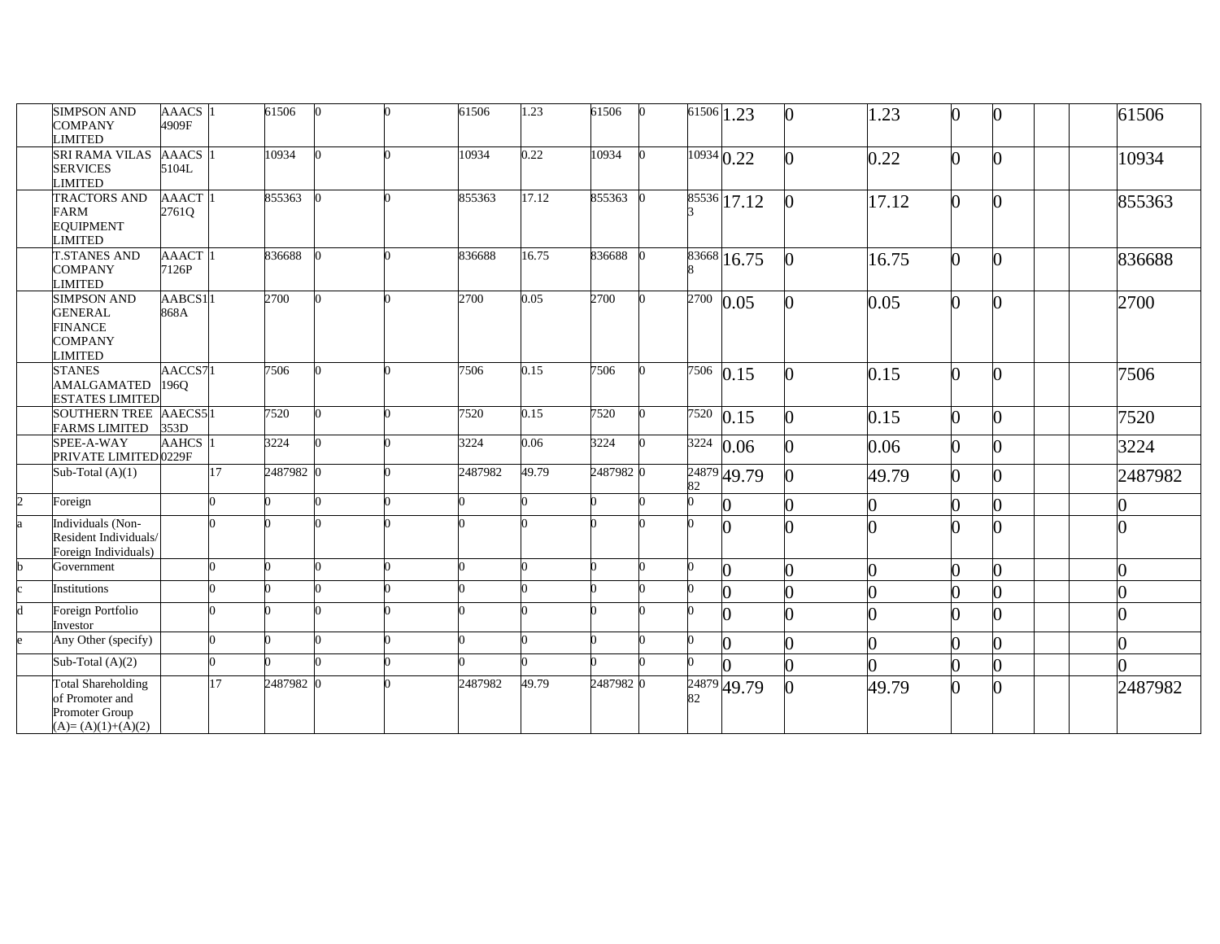|                | <b>SIMPSON AND</b><br><b>COMPANY</b><br><b>LIMITED</b>                                | AAACS 1<br>4909F      |    | 61506     |  | 61506   | 1.23  | 61506     | $\overline{61506}$ 1.23 |                          | 1.23  | $\bf{0}$     |  | 61506   |
|----------------|---------------------------------------------------------------------------------------|-----------------------|----|-----------|--|---------|-------|-----------|-------------------------|--------------------------|-------|--------------|--|---------|
|                | SRI RAMA VILAS<br><b>SERVICES</b><br><b>LIMITED</b>                                   | <b>AAACS</b><br>5104L |    | 10934     |  | 10934   | 0.22  | 10934     | $\frac{10934}{0.22}$    |                          | 0.22  | O.           |  | 10934   |
|                | <b>TRACTORS AND</b><br><b>FARM</b><br><b>EQUIPMENT</b><br><b>LIMITED</b>              | <b>AAACT</b><br>2761Q |    | 855363    |  | 855363  | 17.12 | 855363    |                         | $85536$ 17.12            | 17.12 | $\mathbf{0}$ |  | 855363  |
|                | <b>T.STANES AND</b><br><b>COMPANY</b><br><b>LIMITED</b>                               | AAACT<br>7126P        |    | 836688    |  | 836688  | 16.75 | 836688    |                         | $83668$ <sub>16.75</sub> | 16.75 | $\Omega$     |  | 836688  |
|                | <b>SIMPSON AND</b><br><b>GENERAL</b><br><b>FINANCE</b><br><b>COMPANY</b><br>LIMITED   | AABCS1<br>868A        |    | 2700      |  | 2700    | 0.05  | 2700      | 2700                    | 0.05                     | 0.05  | O.           |  | 2700    |
|                | <b>STANES</b><br>AMALGAMATED<br><b>ESTATES LIMITED</b>                                | AACCS7<br>196Q        |    | 7506      |  | 7506    | 0.15  | 7506      | $\frac{7506}{0.15}$     |                          | 0.15  | O.           |  | 7506    |
|                | SOUTHERN TREE AAECS51<br><b>FARMS LIMITED</b>                                         | 353D                  |    | 7520      |  | 7520    | 0.15  | 7520      | $\frac{7520}{0.15}$     |                          | 0.15  | $\Omega$     |  | 7520    |
|                | SPEE-A-WAY<br>PRIVATE LIMITED 0229F                                                   | <b>AAHCS</b>          |    | 3224      |  | 3224    | 0.06  | 3224      | 3224                    | 0.06                     | 0.06  | 0            |  | 3224    |
|                | Sub-Total $(A)(1)$                                                                    |                       | 17 | 2487982 0 |  | 2487982 | 49.79 | 2487982 0 | 82                      | 24879 49.79              | 49.79 | 0            |  | 2487982 |
| $\overline{2}$ | Foreign                                                                               |                       |    |           |  |         |       |           | 0                       |                          |       | 0            |  |         |
|                | Individuals (Non-<br>Resident Individuals/<br>Foreign Individuals)                    |                       |    |           |  |         |       |           |                         |                          |       |              |  |         |
|                | Government                                                                            |                       |    |           |  |         |       |           |                         |                          |       | O.           |  |         |
|                | Institutions                                                                          |                       |    |           |  |         |       |           |                         |                          |       | O            |  |         |
| d              | Foreign Portfolio<br>Investor                                                         |                       |    |           |  |         |       |           |                         |                          |       | O.           |  |         |
|                | Any Other (specify)                                                                   |                       |    |           |  |         |       |           |                         | $\bf{0}$                 |       | 0            |  |         |
|                | Sub-Total $(A)(2)$                                                                    |                       |    |           |  |         |       |           |                         |                          |       | O.           |  |         |
|                | <b>Total Shareholding</b><br>of Promoter and<br>Promoter Group<br>$(A)=(A)(1)+(A)(2)$ |                       | 17 | 2487982 0 |  | 2487982 | 49.79 | 2487982 0 | 82                      | $24879$ 49.79            | 49.79 | 0            |  | 2487982 |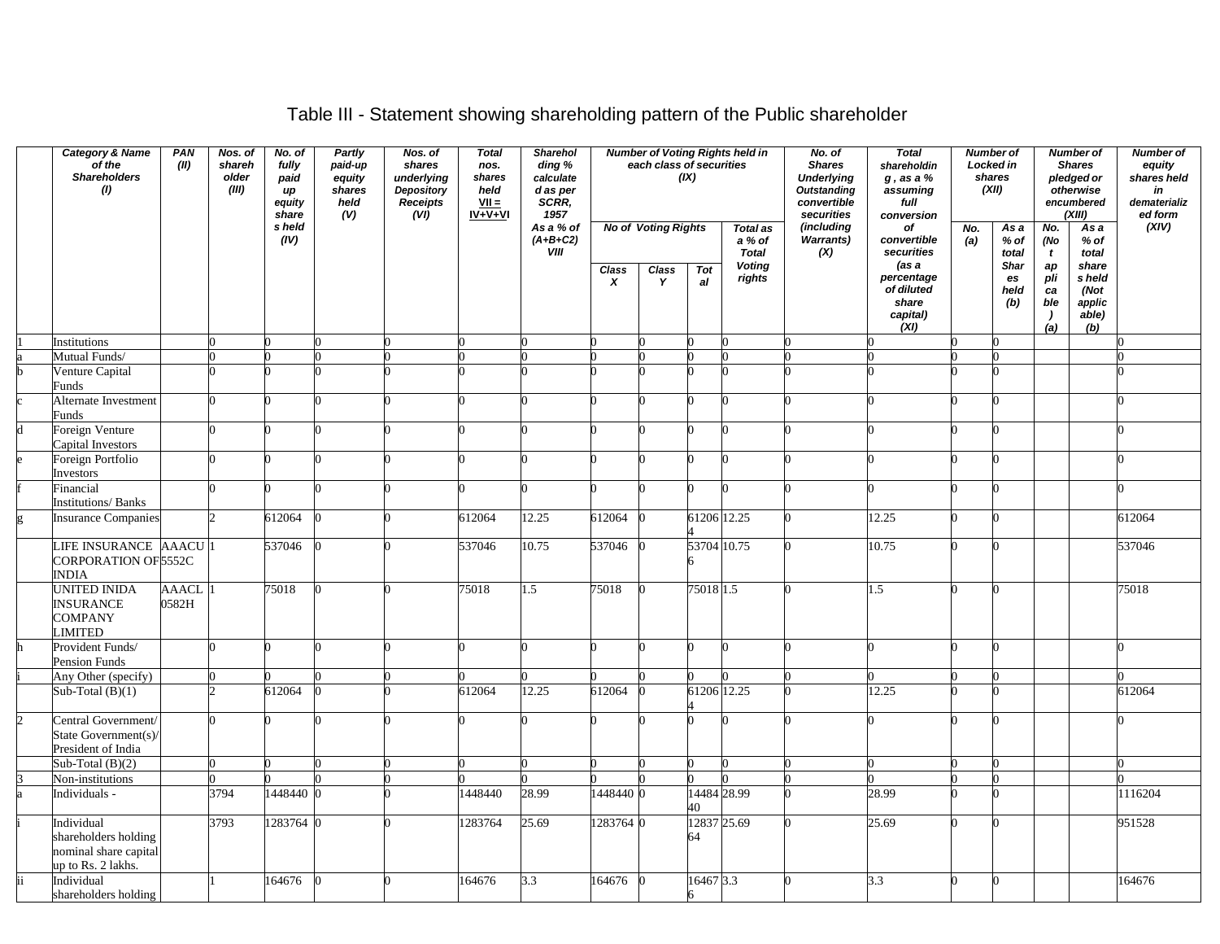# Table III - Statement showing shareholding pattern of the Public shareholder

| <b>Category &amp; Name</b><br>PAN<br>of the<br>(II)<br><b>Shareholders</b><br>(1) |                                                                                   |                       | Nos. of<br>No. of<br>shareh<br>fully<br>older<br>paid<br>(III)<br>up<br>equity<br>share<br>s held |           |  | Partly<br>paid-up<br>equity<br>shares<br>held<br>(V) | Nos. of<br>shares<br>underlying<br>Depository<br>Receipts<br>(VI) | <b>Total</b><br>nos.<br>shares<br>held<br>$VII =$<br>$IV + V + VI$ | Sharehol<br>ding %<br>calculate<br>d as per<br>SCRR,<br>1957 |                                                            | each class of securities | (IX)                                                                 | <b>Number of Voting Rights held in</b> | No. of<br><b>Shares</b><br><b>Underlying</b><br><b>Outstanding</b><br>convertible<br>securities | <b>Total</b><br>shareholdin<br>$g$ , as a $%$<br>assuming<br>full<br>conversion |                                            | Number of<br>Locked in<br>shares<br>(XII) |                                            | <b>Number of</b><br><b>Shares</b><br>pledged or<br>otherwise<br>encumbered<br>(XIII) | Number of<br>equity<br>shares held<br>in<br>dematerializ<br>ed form |
|-----------------------------------------------------------------------------------|-----------------------------------------------------------------------------------|-----------------------|---------------------------------------------------------------------------------------------------|-----------|--|------------------------------------------------------|-------------------------------------------------------------------|--------------------------------------------------------------------|--------------------------------------------------------------|------------------------------------------------------------|--------------------------|----------------------------------------------------------------------|----------------------------------------|-------------------------------------------------------------------------------------------------|---------------------------------------------------------------------------------|--------------------------------------------|-------------------------------------------|--------------------------------------------|--------------------------------------------------------------------------------------|---------------------------------------------------------------------|
|                                                                                   |                                                                                   |                       |                                                                                                   | (IV)      |  |                                                      |                                                                   | As a % of<br>$(A+B+C2)$<br>VIII                                    | Class                                                        | <b>No of Voting Rights</b><br>Class<br>Tot<br>X<br>Y<br>al |                          | <b>Total as</b><br>a % of<br><b>Total</b><br><b>Voting</b><br>rights | (including<br>Warrants)<br>(X)         | оf<br>convertible<br>securities<br>(as a<br>percentage                                          | No.<br>(a)                                                                      | As a<br>% of<br>total<br><b>Shar</b><br>es | No.<br>(No<br>$\mathbf{t}$<br>ap<br>pli   | As a<br>$%$ of<br>total<br>share<br>s held | (XIV)                                                                                |                                                                     |
|                                                                                   |                                                                                   |                       |                                                                                                   |           |  |                                                      |                                                                   |                                                                    |                                                              |                                                            |                          |                                                                      |                                        | of diluted<br>share<br>capital)<br>(XI)                                                         |                                                                                 | held<br>(b)                                | ca<br>ble<br>$\lambda$<br>(a)             | (Not<br>applic<br>able)<br>(b)             |                                                                                      |                                                                     |
|                                                                                   | Institutions                                                                      |                       |                                                                                                   |           |  |                                                      |                                                                   |                                                                    |                                                              |                                                            |                          |                                                                      |                                        |                                                                                                 |                                                                                 |                                            |                                           |                                            |                                                                                      |                                                                     |
|                                                                                   | Mutual Funds/                                                                     |                       |                                                                                                   |           |  |                                                      |                                                                   |                                                                    |                                                              |                                                            |                          |                                                                      |                                        |                                                                                                 |                                                                                 |                                            |                                           |                                            |                                                                                      |                                                                     |
|                                                                                   | Venture Capital<br>Funds                                                          |                       |                                                                                                   |           |  |                                                      |                                                                   |                                                                    |                                                              |                                                            |                          |                                                                      |                                        |                                                                                                 |                                                                                 |                                            |                                           |                                            |                                                                                      |                                                                     |
|                                                                                   | Alternate Investment<br>Funds                                                     |                       |                                                                                                   |           |  |                                                      |                                                                   |                                                                    |                                                              |                                                            |                          |                                                                      |                                        |                                                                                                 |                                                                                 |                                            |                                           |                                            |                                                                                      |                                                                     |
|                                                                                   | Foreign Venture<br>Capital Investors                                              |                       | U                                                                                                 |           |  |                                                      |                                                                   |                                                                    |                                                              |                                                            |                          |                                                                      |                                        |                                                                                                 |                                                                                 |                                            |                                           |                                            |                                                                                      |                                                                     |
|                                                                                   | Foreign Portfolio<br>Investors                                                    |                       |                                                                                                   |           |  |                                                      |                                                                   |                                                                    |                                                              |                                                            |                          |                                                                      |                                        |                                                                                                 |                                                                                 |                                            |                                           |                                            |                                                                                      |                                                                     |
|                                                                                   | Financial<br>Institutions/Banks                                                   |                       | n                                                                                                 |           |  |                                                      |                                                                   |                                                                    |                                                              |                                                            |                          |                                                                      |                                        |                                                                                                 |                                                                                 |                                            |                                           |                                            | $\Omega$                                                                             |                                                                     |
|                                                                                   | <b>Insurance Companies</b>                                                        |                       | C                                                                                                 | 612064    |  |                                                      | 612064                                                            | 12.25                                                              | 612064                                                       |                                                            | 61206 12.25              |                                                                      |                                        | 12.25                                                                                           |                                                                                 |                                            |                                           |                                            | 612064                                                                               |                                                                     |
|                                                                                   | LIFE INSURANCE AAACU<br>CORPORATION OF 5552C                                      |                       |                                                                                                   | 537046    |  |                                                      | 537046                                                            | 10.75                                                              | 537046                                                       |                                                            | 53704 10.75              |                                                                      |                                        | 10.75                                                                                           |                                                                                 |                                            |                                           |                                            | 537046                                                                               |                                                                     |
|                                                                                   | <b>INDIA</b><br>UNITED INIDA<br><b>INSURANCE</b><br>COMPANY<br>LIMITED            | <b>AAACL</b><br>0582H |                                                                                                   | 75018     |  |                                                      | 75018                                                             | 1.5                                                                | 75018                                                        |                                                            | 75018 1.5                |                                                                      |                                        | 1.5                                                                                             |                                                                                 |                                            |                                           |                                            | 75018                                                                                |                                                                     |
|                                                                                   | Provident Funds/                                                                  |                       |                                                                                                   |           |  |                                                      |                                                                   |                                                                    |                                                              |                                                            |                          |                                                                      |                                        |                                                                                                 |                                                                                 |                                            |                                           |                                            |                                                                                      |                                                                     |
|                                                                                   | Pension Funds<br>Any Other (specify)                                              |                       | O                                                                                                 |           |  |                                                      |                                                                   |                                                                    |                                                              |                                                            |                          |                                                                      |                                        |                                                                                                 |                                                                                 |                                            |                                           |                                            |                                                                                      |                                                                     |
|                                                                                   | Sub-Total $(B)(1)$                                                                |                       |                                                                                                   | 612064    |  |                                                      | 612064                                                            | 12.25                                                              | 612064                                                       |                                                            | 61206 12.25              |                                                                      |                                        | 12.25                                                                                           |                                                                                 |                                            |                                           |                                            | 612064                                                                               |                                                                     |
| $\overline{2}$                                                                    | Central Government/<br>State Government(s)/<br>President of India                 |                       |                                                                                                   |           |  |                                                      |                                                                   |                                                                    |                                                              |                                                            |                          |                                                                      |                                        |                                                                                                 |                                                                                 |                                            |                                           |                                            |                                                                                      |                                                                     |
|                                                                                   | Sub-Total $(B)(2)$                                                                |                       | U                                                                                                 |           |  |                                                      |                                                                   |                                                                    |                                                              |                                                            |                          |                                                                      |                                        | 0                                                                                               |                                                                                 |                                            |                                           |                                            |                                                                                      |                                                                     |
|                                                                                   | Non-institutions                                                                  |                       |                                                                                                   |           |  |                                                      |                                                                   |                                                                    |                                                              |                                                            |                          |                                                                      |                                        |                                                                                                 |                                                                                 |                                            |                                           |                                            |                                                                                      |                                                                     |
|                                                                                   | Individuals -                                                                     |                       | 3794                                                                                              | 1448440 0 |  |                                                      | 448440                                                            | 28.99                                                              | 1448440 0                                                    |                                                            | 14484 28.99<br>40        |                                                                      |                                        | 28.99                                                                                           |                                                                                 |                                            |                                           |                                            | 1116204                                                                              |                                                                     |
|                                                                                   | Individual<br>shareholders holding<br>nominal share capital<br>up to Rs. 2 lakhs. |                       | 3793                                                                                              | 1283764 0 |  |                                                      | 1283764                                                           | 25.69                                                              | 1283764 0                                                    |                                                            | 12837 25.69<br>64        |                                                                      |                                        | 25.69                                                                                           |                                                                                 |                                            |                                           |                                            | 951528                                                                               |                                                                     |
| ii                                                                                | Individual<br>shareholders holding                                                |                       |                                                                                                   | 164676    |  |                                                      | 164676                                                            | 3.3                                                                | 164676                                                       |                                                            | 16467 3.3                |                                                                      |                                        | 3.3                                                                                             |                                                                                 |                                            |                                           |                                            | 164676                                                                               |                                                                     |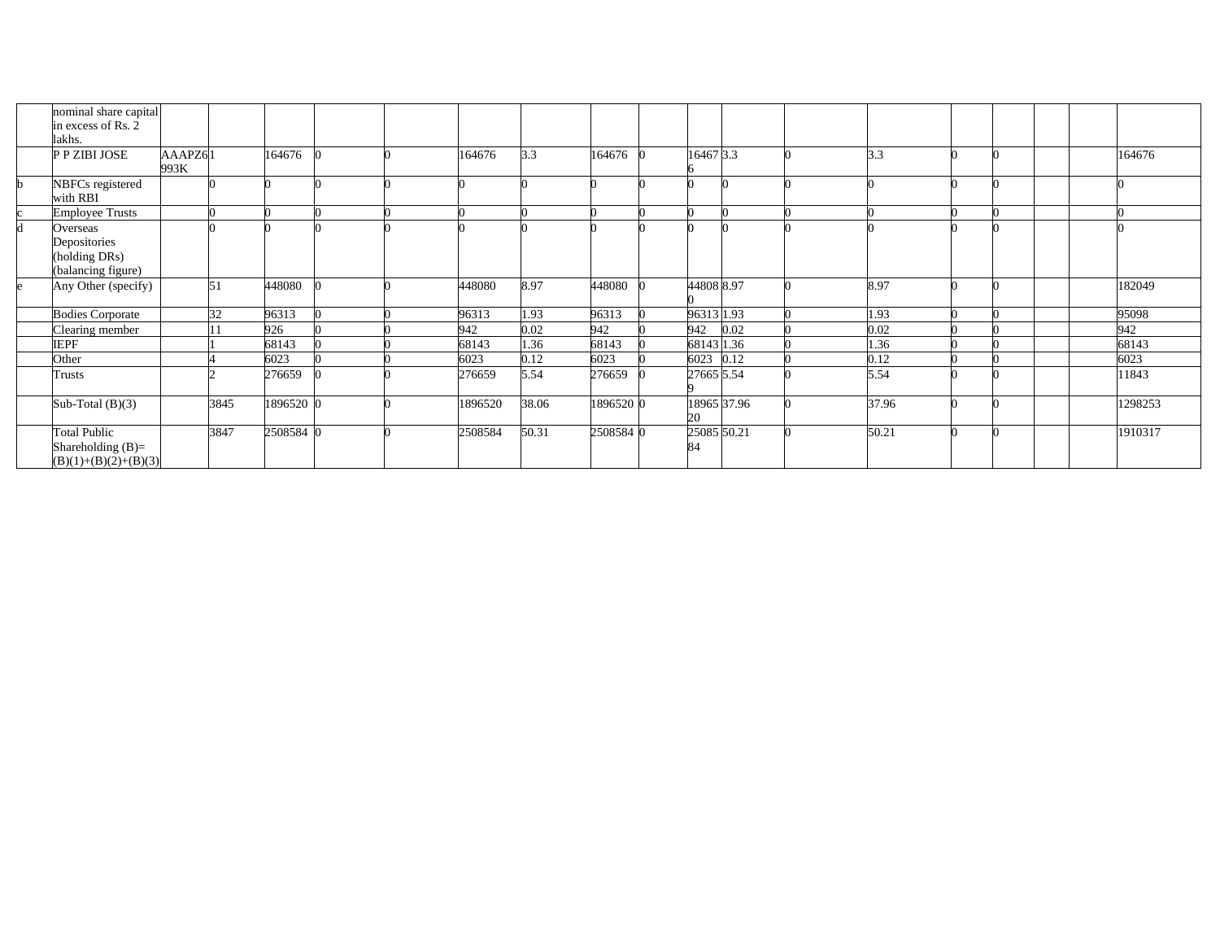| nominal share capital                                                |                 |      |           |  |         |       |           |                   |             |       |  |  |         |
|----------------------------------------------------------------------|-----------------|------|-----------|--|---------|-------|-----------|-------------------|-------------|-------|--|--|---------|
| in excess of Rs. 2<br>lakhs.                                         |                 |      |           |  |         |       |           |                   |             |       |  |  |         |
| P P ZIBI JOSE                                                        | AAAPZ61<br>993K |      | 164676    |  | 164676  | 3.3   | 164676    | 16467 3.3         |             | 3.3   |  |  | 164676  |
| NBFCs registered<br>with RBI                                         |                 |      |           |  |         |       |           |                   |             |       |  |  |         |
| <b>Employee Trusts</b>                                               |                 |      |           |  |         |       |           |                   |             |       |  |  |         |
| Overseas<br>Depositories<br>(holding DRs)<br>(balancing figure)      |                 |      |           |  |         |       |           |                   |             |       |  |  |         |
| Any Other (specify)                                                  |                 | 51   | 448080    |  | 448080  | 8.97  | 448080    | 44808 8.97        |             | 8.97  |  |  | 182049  |
| <b>Bodies Corporate</b>                                              |                 | 32   | 96313     |  | 96313   | 1.93  | 96313     | 96313 1.93        |             | 1.93  |  |  | 95098   |
| Clearing member                                                      |                 |      | 926       |  | 942     | 0.02  | 942       | 942               | 0.02        | 0.02  |  |  | 942     |
| <b>IEPF</b>                                                          |                 |      | 68143     |  | 68143   | 1.36  | 68143     | 68143 1.36        |             | 1.36  |  |  | 68143   |
| Other                                                                |                 |      | 6023      |  | 6023    | 0.12  | 6023      | 6023 0.12         |             | 0.12  |  |  | 6023    |
| Trusts                                                               |                 |      | 276659    |  | 276659  | 5.54  | 276659    | 27665 5.54        |             | 5.54  |  |  | 11843   |
| Sub-Total $(B)(3)$                                                   |                 | 3845 | 1896520 0 |  | 1896520 | 38.06 | 1896520 0 | 20                | 18965 37.96 | 37.96 |  |  | 1298253 |
| <b>Total Public</b><br>Shareholding $(B)=$<br>$(B)(1)+(B)(2)+(B)(3)$ |                 | 3847 | 2508584 0 |  | 2508584 | 50.31 | 2508584 0 | 25085 50.21<br>84 |             | 50.21 |  |  | 1910317 |